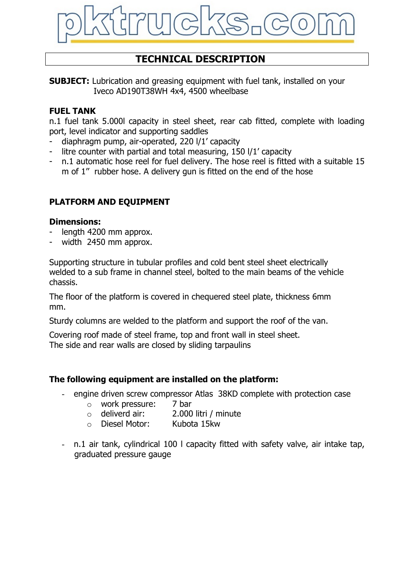

# **TECHNICAL DESCRIPTION**

**SUBJECT:** Lubrication and greasing equipment with fuel tank, installed on your Iveco AD190T38WH 4x4, 4500 wheelbase

#### **FUEL TANK**

n.1 fuel tank 5.000l capacity in steel sheet, rear cab fitted, complete with loading port, level indicator and supporting saddles

- diaphragm pump, air-operated, 220 l/1' capacity
- litre counter with partial and total measuring,  $150$  I/ $1'$  capacity
- n.1 automatic hose reel for fuel delivery. The hose reel is fitted with a suitable 15 m of 1'' rubber hose. A delivery gun is fitted on the end of the hose

# **PLATFORM AND EQUIPMENT**

#### **Dimensions:**

- length 4200 mm approx.
- width 2450 mm approx.

Supporting structure in tubular profiles and cold bent steel sheet electrically welded to a sub frame in channel steel, bolted to the main beams of the vehicle chassis.

The floor of the platform is covered in chequered steel plate, thickness 6mm mm.

Sturdy columns are welded to the platform and support the roof of the van.

Covering roof made of steel frame, top and front wall in steel sheet.

The side and rear walls are closed by sliding tarpaulins

## **The following equipment are installed on the platform:**

- engine driven screw compressor Atlas 38KD complete with protection case
	- o work pressure: 7 bar
	- o deliverd air: 2.000 litri / minute
	- o Diesel Motor: Kubota 15kw
- n.1 air tank, cylindrical 100 l capacity fitted with safety valve, air intake tap, graduated pressure gauge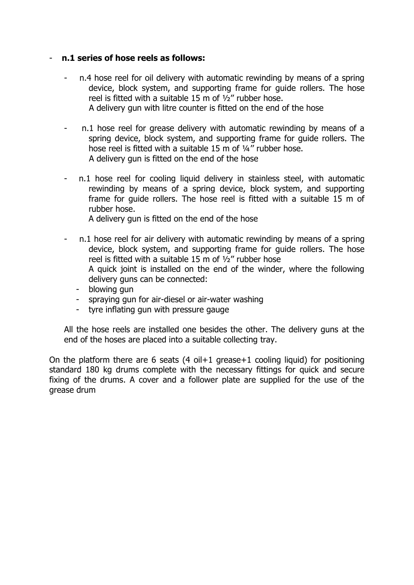#### - **n.1 series of hose reels as follows:**

- n.4 hose reel for oil delivery with automatic rewinding by means of a spring device, block system, and supporting frame for guide rollers. The hose reel is fitted with a suitable 15 m of ½'' rubber hose. A delivery gun with litre counter is fitted on the end of the hose
- n.1 hose reel for grease delivery with automatic rewinding by means of a spring device, block system, and supporting frame for guide rollers. The hose reel is fitted with a suitable 15 m of 1/4" rubber hose. A delivery gun is fitted on the end of the hose
- n.1 hose reel for cooling liquid delivery in stainless steel, with automatic rewinding by means of a spring device, block system, and supporting frame for guide rollers. The hose reel is fitted with a suitable 15 m of rubber hose.

A delivery gun is fitted on the end of the hose

- n.1 hose reel for air delivery with automatic rewinding by means of a spring device, block system, and supporting frame for guide rollers. The hose reel is fitted with a suitable 15 m of  $\frac{1}{2}$ " rubber hose A quick joint is installed on the end of the winder, where the following delivery guns can be connected:
	- blowing gun
	- spraying gun for air-diesel or air-water washing
	- tyre inflating gun with pressure gauge

All the hose reels are installed one besides the other. The delivery guns at the end of the hoses are placed into a suitable collecting tray.

On the platform there are 6 seats  $(4 \text{ oil}+1 \text{ grease}+1 \text{ cooling liquid})$  for positioning standard 180 kg drums complete with the necessary fittings for quick and secure fixing of the drums. A cover and a follower plate are supplied for the use of the grease drum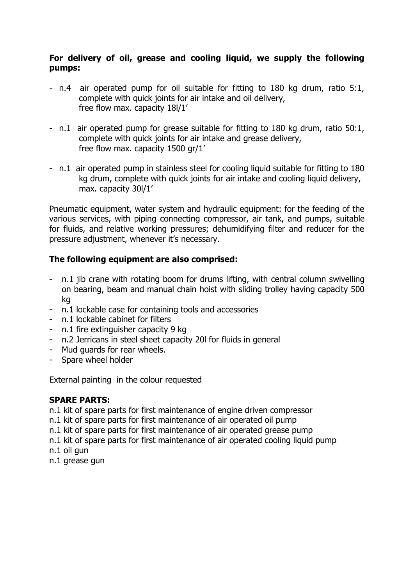## **For delivery of oil, grease and cooling liquid, we supply the following pumps:**

- n.4 air operated pump for oil suitable for fitting to 180 kg drum, ratio 5:1, complete with quick joints for air intake and oil delivery, free flow max. capacity 18l/1'
- n.1 air operated pump for grease suitable for fitting to 180 kg drum, ratio 50:1, complete with quick joints for air intake and grease delivery, free flow max. capacity 1500 gr/1'
- n.1 air operated pump in stainless steel for cooling liquid suitable for fitting to 180 kg drum, complete with quick joints for air intake and cooling liquid delivery, max. capacity 30l/1'

Pneumatic equipment, water system and hydraulic equipment: for the feeding of the various services, with piping connecting compressor, air tank, and pumps, suitable for fluids, and relative working pressures; dehumidifying filter and reducer for the pressure adjustment, whenever it's necessary.

# **The following equipment are also comprised:**

- n.1 jib crane with rotating boom for drums lifting, with central column swivelling on bearing, beam and manual chain hoist with sliding trolley having capacity 500 kg
- n.1 lockable case for containing tools and accessories
- n.1 lockable cabinet for filters
- n.1 fire extinguisher capacity 9 kg
- n.2 Jerricans in steel sheet capacity 20l for fluids in general
- Mud guards for rear wheels.
- Spare wheel holder

External painting in the colour requested

## **SPARE PARTS:**

n.1 kit of spare parts for first maintenance of engine driven compressor

n.1 kit of spare parts for first maintenance of air operated oil pump

n.1 kit of spare parts for first maintenance of air operated grease pump

n.1 kit of spare parts for first maintenance of air operated cooling liquid pump n.1 oil gun

n.1 grease gun